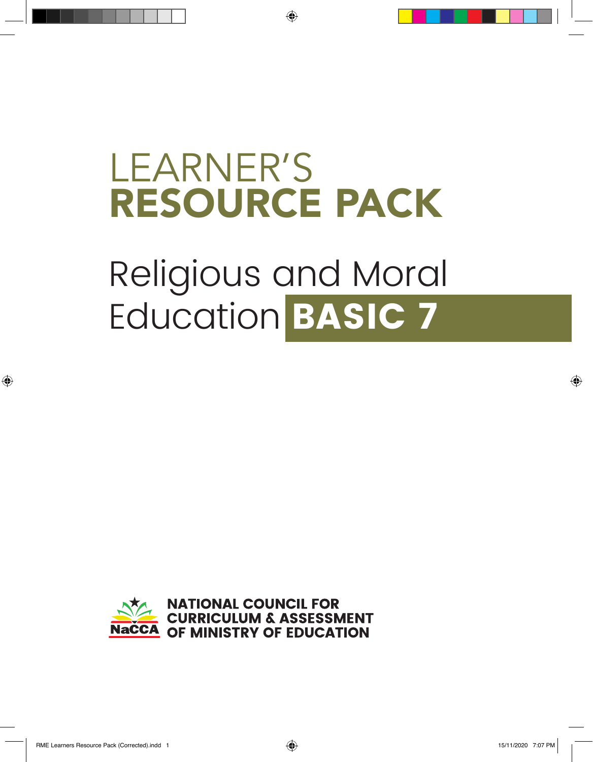# LEARNER'S RESOURCE PACK

◈

# Religious and Moral Education BASIC 7



RME Learners Resource Pack (Corrected).indd 1 15/11/2020 7:07 PM

⊕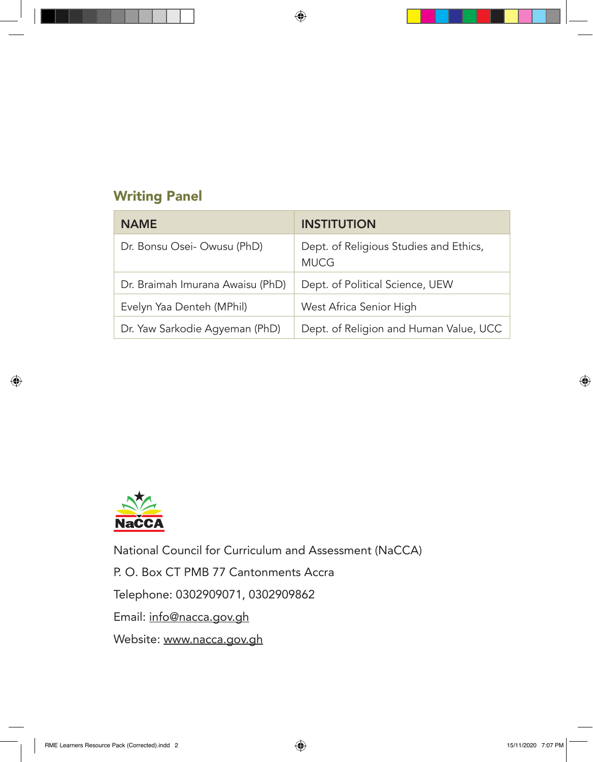## Writing Panel

| <b>NAME</b>                      | <b>INSTITUTION</b>                                    |
|----------------------------------|-------------------------------------------------------|
| Dr. Bonsu Osei- Owusu (PhD)      | Dept. of Religious Studies and Ethics,<br><b>MUCG</b> |
| Dr. Braimah Imurana Awaisu (PhD) | Dept. of Political Science, UEW                       |
| Evelyn Yaa Denteh (MPhil)        | West Africa Senior High                               |
| Dr. Yaw Sarkodie Agyeman (PhD)   | Dept. of Religion and Human Value, UCC                |

 $\bigoplus$ 



⊕

National Council for Curriculum and Assessment (NaCCA) P. O. Box CT PMB 77 Cantonments Accra Telephone: 0302909071, 0302909862 Email: info@nacca.gov.gh Website: www.nacca.gov.gh

RME Learners Resource Pack (Corrected).indd 2 15/11/2020 7:07 PM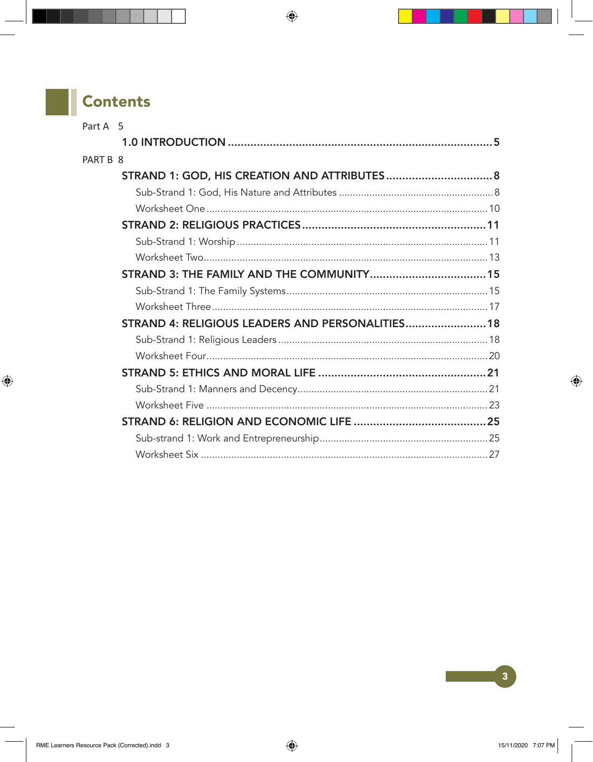

| Part A 5 |                                                  |  |
|----------|--------------------------------------------------|--|
|          |                                                  |  |
| PART B 8 |                                                  |  |
|          |                                                  |  |
|          |                                                  |  |
|          |                                                  |  |
|          |                                                  |  |
|          |                                                  |  |
|          |                                                  |  |
|          |                                                  |  |
|          |                                                  |  |
|          |                                                  |  |
|          | STRAND 4: RELIGIOUS LEADERS AND PERSONALITIES 18 |  |
|          |                                                  |  |
|          |                                                  |  |
|          |                                                  |  |
|          |                                                  |  |
|          |                                                  |  |
|          |                                                  |  |
|          |                                                  |  |
|          |                                                  |  |
|          |                                                  |  |

 $\bigoplus$ 



15/11/2020 7:07 PM

 $\bigoplus$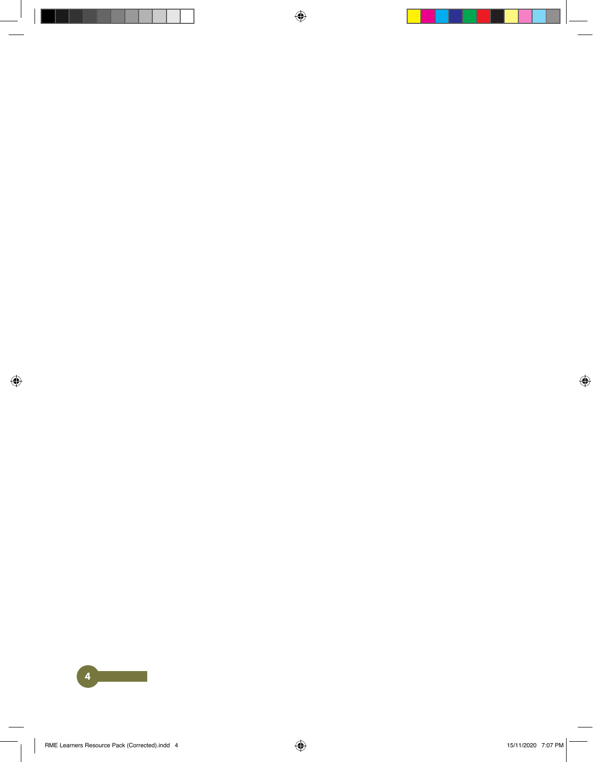

 $\overline{\phantom{0}}$ 

 $\bigoplus$ 

ı

 $\bigoplus$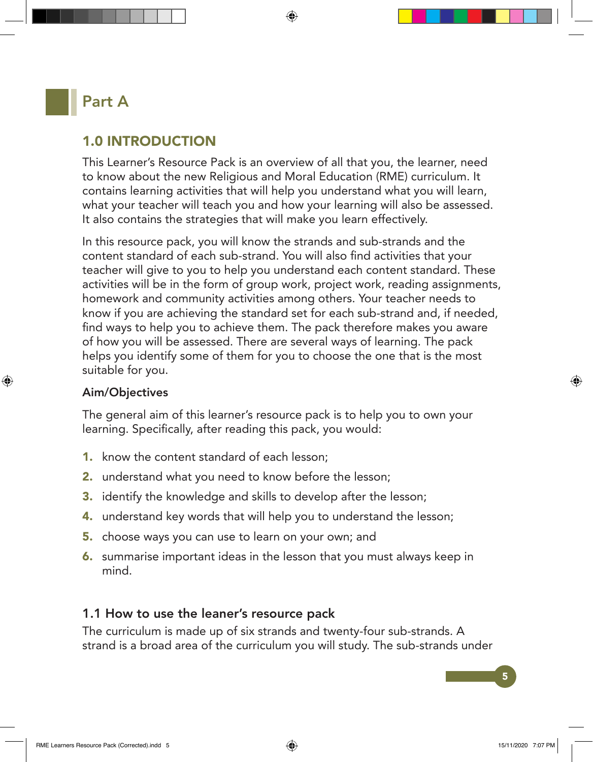## Part A

### 1.0 INTRODUCTION

This Learner's Resource Pack is an overview of all that you, the learner, need to know about the new Religious and Moral Education (RME) curriculum. It contains learning activities that will help you understand what you will learn, what your teacher will teach you and how your learning will also be assessed. It also contains the strategies that will make you learn effectively.

⊕

In this resource pack, you will know the strands and sub-strands and the content standard of each sub-strand. You will also find activities that your teacher will give to you to help you understand each content standard. These activities will be in the form of group work, project work, reading assignments, homework and community activities among others. Your teacher needs to know if you are achieving the standard set for each sub-strand and, if needed, find ways to help you to achieve them. The pack therefore makes you aware of how you will be assessed. There are several ways of learning. The pack helps you identify some of them for you to choose the one that is the most suitable for you.

#### Aim/Objectives

⊕

The general aim of this learner's resource pack is to help you to own your learning. Specifically, after reading this pack, you would:

- 1. know the content standard of each lesson;
- 2. understand what you need to know before the lesson;
- **3.** identify the knowledge and skills to develop after the lesson;
- **4.** understand key words that will help you to understand the lesson;
- 5. choose ways you can use to learn on your own; and
- 6. summarise important ideas in the lesson that you must always keep in mind.

#### 1.1 How to use the leaner's resource pack

The curriculum is made up of six strands and twenty-four sub-strands. A strand is a broad area of the curriculum you will study. The sub-strands under

RME Learners Resource Pack (Corrected).indd 5 15/11/2020 7:07 PM

⊕

5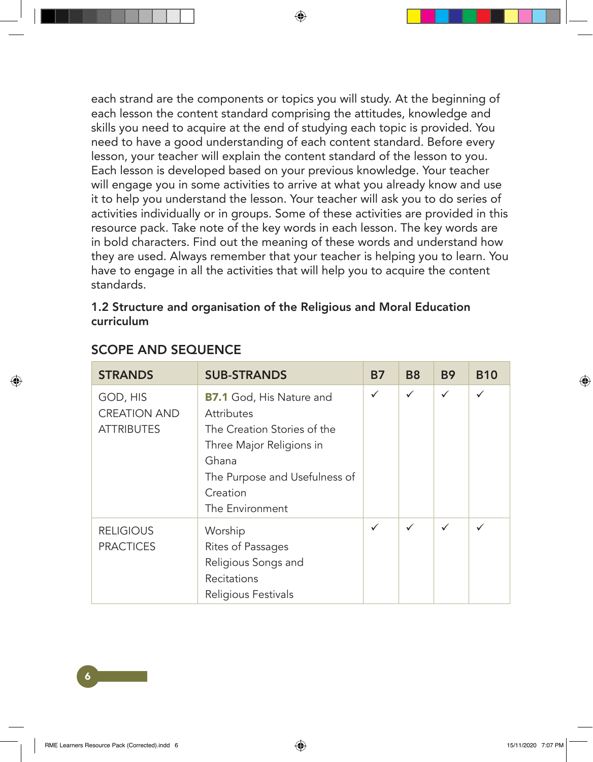each strand are the components or topics you will study. At the beginning of each lesson the content standard comprising the attitudes, knowledge and skills you need to acquire at the end of studying each topic is provided. You need to have a good understanding of each content standard. Before every lesson, your teacher will explain the content standard of the lesson to you. Each lesson is developed based on your previous knowledge. Your teacher will engage you in some activities to arrive at what you already know and use it to help you understand the lesson. Your teacher will ask you to do series of activities individually or in groups. Some of these activities are provided in this resource pack. Take note of the key words in each lesson. The key words are in bold characters. Find out the meaning of these words and understand how they are used. Always remember that your teacher is helping you to learn. You have to engage in all the activities that will help you to acquire the content standards.

⊕

#### 1.2 Structure and organisation of the Religious and Moral Education curriculum

| <b>STRANDS</b>                                       | <b>SUB-STRANDS</b>                                                                                                                                                                       | <b>B7</b>    | B <sub>8</sub> | <b>B9</b>    | <b>B10</b>   |
|------------------------------------------------------|------------------------------------------------------------------------------------------------------------------------------------------------------------------------------------------|--------------|----------------|--------------|--------------|
| GOD, HIS<br><b>CREATION AND</b><br><b>ATTRIBUTES</b> | <b>B7.1</b> God, His Nature and<br><b>Attributes</b><br>The Creation Stories of the<br>Three Major Religions in<br>Ghana<br>The Purpose and Usefulness of<br>Creation<br>The Environment | ✓            | $\checkmark$   | $\checkmark$ | ✓            |
| <b>RELIGIOUS</b><br><b>PRACTICES</b>                 | Worship<br>Rites of Passages<br>Religious Songs and<br>Recitations<br>Religious Festivals                                                                                                | $\checkmark$ | $\checkmark$   | $\checkmark$ | $\checkmark$ |

#### SCOPE AND SEQUENCE



⊕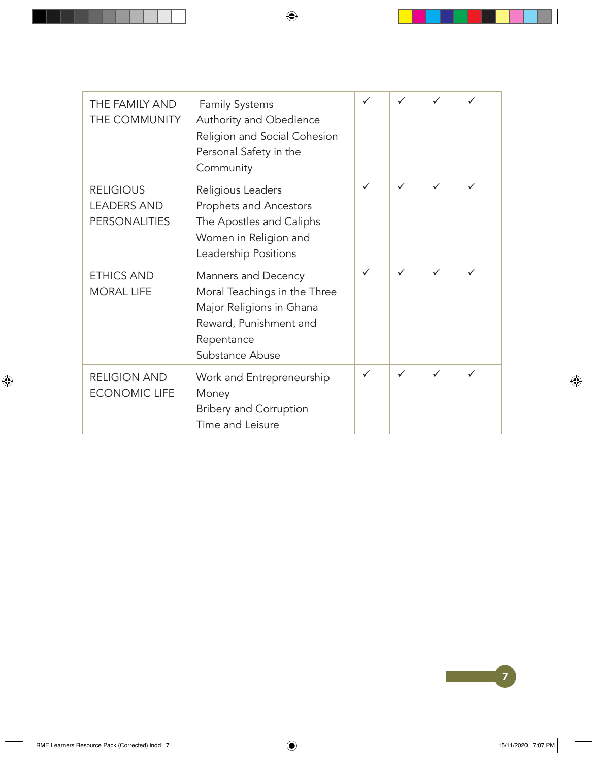| THE FAMILY AND<br>THE COMMUNITY                                | <b>Family Systems</b><br>Authority and Obedience<br>Religion and Social Cohesion<br>Personal Safety in the<br>Community                    |              |              |   |   |
|----------------------------------------------------------------|--------------------------------------------------------------------------------------------------------------------------------------------|--------------|--------------|---|---|
| <b>RELIGIOUS</b><br><b>LEADERS AND</b><br><b>PERSONALITIES</b> | Religious Leaders<br><b>Prophets and Ancestors</b><br>The Apostles and Caliphs<br>Women in Religion and<br>Leadership Positions            | $\checkmark$ | $\checkmark$ | ✓ | ✓ |
| <b>ETHICS AND</b><br><b>MORAL LIFE</b>                         | Manners and Decency<br>Moral Teachings in the Three<br>Major Religions in Ghana<br>Reward, Punishment and<br>Repentance<br>Substance Abuse | ✓            |              |   |   |
| <b>RELIGION AND</b><br><b>ECONOMIC LIFE</b>                    | Work and Entrepreneurship<br>Money<br><b>Bribery and Corruption</b><br>Time and Leisure                                                    | ✓            | ✓            | ✓ |   |

**Contract** 7

 $\overline{\phantom{a}}$ 

 $\bigoplus$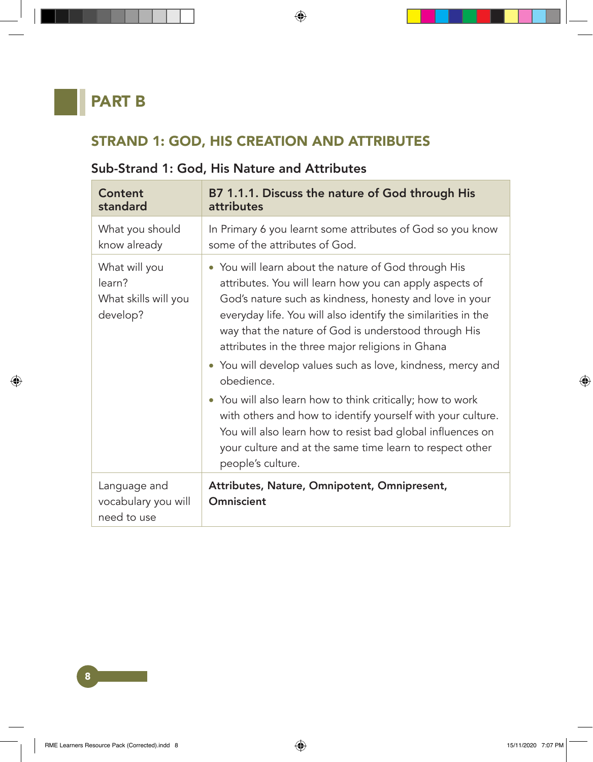## PART B

## STRAND 1: GOD, HIS CREATION AND ATTRIBUTES

 $\bigoplus$ 

| Content<br>standard                                         | B7 1.1.1. Discuss the nature of God through His<br>attributes                                                                                                                                                                                                                                                                                                                                                                        |
|-------------------------------------------------------------|--------------------------------------------------------------------------------------------------------------------------------------------------------------------------------------------------------------------------------------------------------------------------------------------------------------------------------------------------------------------------------------------------------------------------------------|
| What you should<br>know already                             | In Primary 6 you learnt some attributes of God so you know<br>some of the attributes of God.                                                                                                                                                                                                                                                                                                                                         |
| What will you<br>learn?<br>What skills will you<br>develop? | • You will learn about the nature of God through His<br>attributes. You will learn how you can apply aspects of<br>God's nature such as kindness, honesty and love in your<br>everyday life. You will also identify the similarities in the<br>way that the nature of God is understood through His<br>attributes in the three major religions in Ghana<br>• You will develop values such as love, kindness, mercy and<br>obedience. |
|                                                             | • You will also learn how to think critically; how to work<br>with others and how to identify yourself with your culture.<br>You will also learn how to resist bad global influences on<br>your culture and at the same time learn to respect other<br>people's culture.                                                                                                                                                             |
| Language and<br>vocabulary you will<br>need to use          | Attributes, Nature, Omnipotent, Omnipresent,<br>Omniscient                                                                                                                                                                                                                                                                                                                                                                           |

## Sub-Strand 1: God, His Nature and Attributes

8

 $\bigoplus$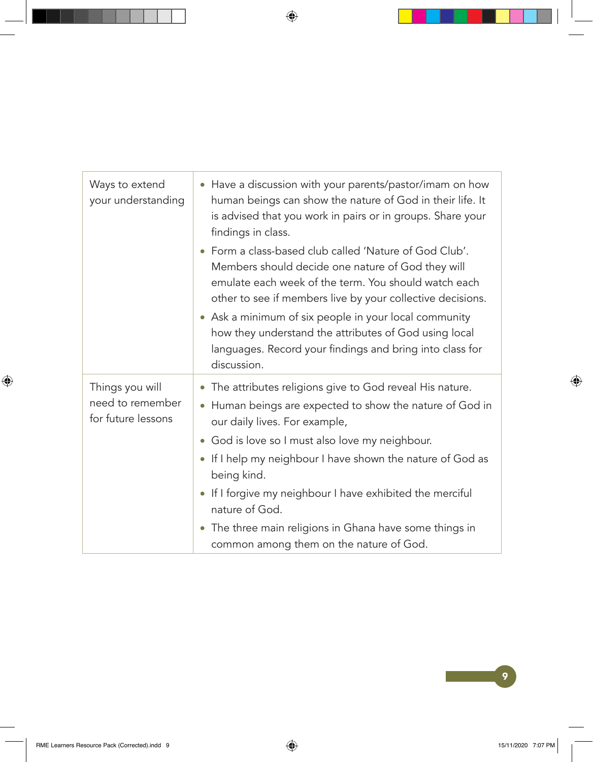| Ways to extend<br>your understanding                      | • Have a discussion with your parents/pastor/imam on how<br>human beings can show the nature of God in their life. It<br>is advised that you work in pairs or in groups. Share your<br>findings in class.<br>• Form a class-based club called 'Nature of God Club'.<br>Members should decide one nature of God they will<br>emulate each week of the term. You should watch each<br>other to see if members live by your collective decisions.<br>• Ask a minimum of six people in your local community<br>how they understand the attributes of God using local<br>languages. Record your findings and bring into class for<br>discussion. |
|-----------------------------------------------------------|---------------------------------------------------------------------------------------------------------------------------------------------------------------------------------------------------------------------------------------------------------------------------------------------------------------------------------------------------------------------------------------------------------------------------------------------------------------------------------------------------------------------------------------------------------------------------------------------------------------------------------------------|
| Things you will<br>need to remember<br>for future lessons | The attributes religions give to God reveal His nature.<br>0<br>• Human beings are expected to show the nature of God in<br>our daily lives. For example,<br>• God is love so I must also love my neighbour.<br>• If I help my neighbour I have shown the nature of God as<br>being kind.<br>If I forgive my neighbour I have exhibited the merciful<br>$\bullet$<br>nature of God.<br>The three main religions in Ghana have some things in<br>$\bullet$<br>common among them on the nature of God.                                                                                                                                        |

 $\overline{\phantom{a}}$ 

 $\bigoplus$ 

 $\bigoplus$ 

9

**Contract**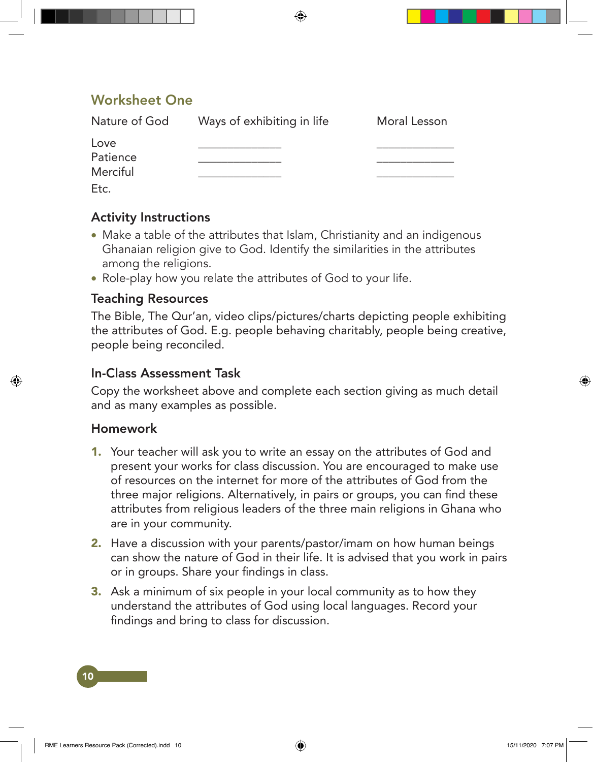#### Worksheet One

| Nature of God                | Ways of exhibiting in life | Moral Lesson |
|------------------------------|----------------------------|--------------|
| Love<br>Patience<br>Merciful |                            |              |
| Etc.                         |                            |              |

⊕

#### Activity Instructions

- Make a table of the attributes that Islam, Christianity and an indigenous Ghanaian religion give to God. Identify the similarities in the attributes among the religions.
- Role-play how you relate the attributes of God to your life.

#### Teaching Resources

The Bible, The Qur'an, video clips/pictures/charts depicting people exhibiting the attributes of God. E.g. people behaving charitably, people being creative, people being reconciled.

#### In-Class Assessment Task

Copy the worksheet above and complete each section giving as much detail and as many examples as possible.

#### Homework

 $\Leftrightarrow$ 

- 1. Your teacher will ask you to write an essay on the attributes of God and present your works for class discussion. You are encouraged to make use of resources on the internet for more of the attributes of God from the three major religions. Alternatively, in pairs or groups, you can find these attributes from religious leaders of the three main religions in Ghana who are in your community.
- **2.** Have a discussion with your parents/pastor/imam on how human beings can show the nature of God in their life. It is advised that you work in pairs or in groups. Share your findings in class.
- **3.** Ask a minimum of six people in your local community as to how they understand the attributes of God using local languages. Record your findings and bring to class for discussion.

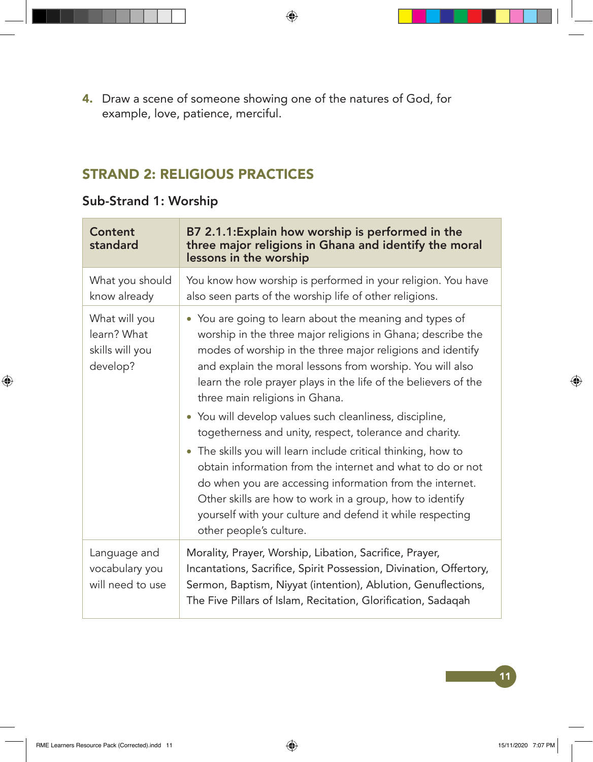4. Draw a scene of someone showing one of the natures of God, for example, love, patience, merciful.

◈

## STRAND 2: RELIGIOUS PRACTICES

#### Sub-Strand 1: Worship

| Content<br>standard                                         | B7 2.1.1: Explain how worship is performed in the<br>three major religions in Ghana and identify the moral<br>lessons in the worship                                                                                                                                                                                                                                                                                                                                                                                                                                                                                                                                                                                                                                                                                        |
|-------------------------------------------------------------|-----------------------------------------------------------------------------------------------------------------------------------------------------------------------------------------------------------------------------------------------------------------------------------------------------------------------------------------------------------------------------------------------------------------------------------------------------------------------------------------------------------------------------------------------------------------------------------------------------------------------------------------------------------------------------------------------------------------------------------------------------------------------------------------------------------------------------|
| What you should<br>know already                             | You know how worship is performed in your religion. You have<br>also seen parts of the worship life of other religions.                                                                                                                                                                                                                                                                                                                                                                                                                                                                                                                                                                                                                                                                                                     |
| What will you<br>learn? What<br>skills will you<br>develop? | • You are going to learn about the meaning and types of<br>worship in the three major religions in Ghana; describe the<br>modes of worship in the three major religions and identify<br>and explain the moral lessons from worship. You will also<br>learn the role prayer plays in the life of the believers of the<br>three main religions in Ghana.<br>• You will develop values such cleanliness, discipline,<br>togetherness and unity, respect, tolerance and charity.<br>• The skills you will learn include critical thinking, how to<br>obtain information from the internet and what to do or not<br>do when you are accessing information from the internet.<br>Other skills are how to work in a group, how to identify<br>yourself with your culture and defend it while respecting<br>other people's culture. |
| Language and<br>vocabulary you<br>will need to use          | Morality, Prayer, Worship, Libation, Sacrifice, Prayer,<br>Incantations, Sacrifice, Spirit Possession, Divination, Offertory,<br>Sermon, Baptism, Niyyat (intention), Ablution, Genuflections,<br>The Five Pillars of Islam, Recitation, Glorification, Sadaqah                                                                                                                                                                                                                                                                                                                                                                                                                                                                                                                                                             |

RME Learners Resource Pack (Corrected).indd 11 15/11/2020 7:07 PM

 $\bigoplus$ 

 $\bigoplus$ 

11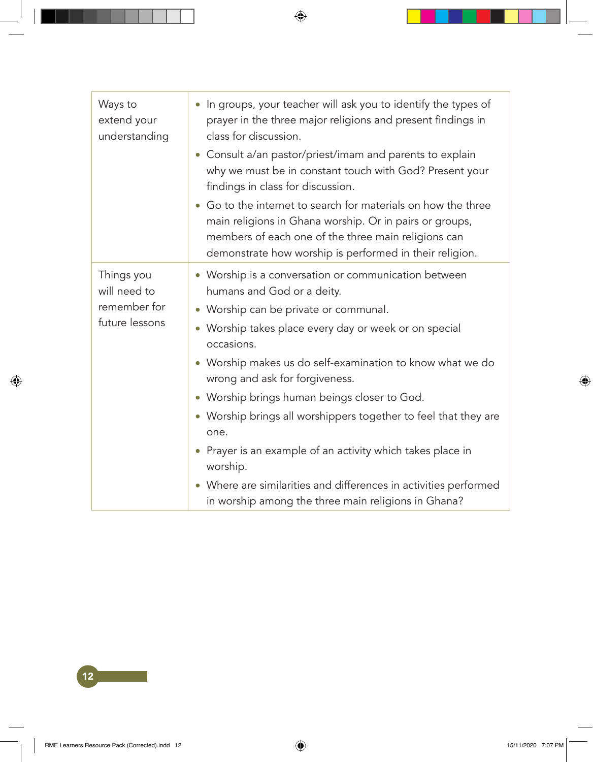| Ways to<br>extend your<br>understanding | In groups, your teacher will ask you to identify the types of<br>$\bullet$<br>prayer in the three major religions and present findings in<br>class for discussion.                                                                         |
|-----------------------------------------|--------------------------------------------------------------------------------------------------------------------------------------------------------------------------------------------------------------------------------------------|
|                                         | • Consult a/an pastor/priest/imam and parents to explain<br>why we must be in constant touch with God? Present your<br>findings in class for discussion.                                                                                   |
|                                         | • Go to the internet to search for materials on how the three<br>main religions in Ghana worship. Or in pairs or groups,<br>members of each one of the three main religions can<br>demonstrate how worship is performed in their religion. |
| Things you<br>will need to              | • Worship is a conversation or communication between<br>humans and God or a deity.                                                                                                                                                         |
| remember for<br>future lessons          | • Worship can be private or communal.                                                                                                                                                                                                      |
|                                         | • Worship takes place every day or week or on special<br>occasions.                                                                                                                                                                        |
|                                         | • Worship makes us do self-examination to know what we do<br>wrong and ask for forgiveness.                                                                                                                                                |
|                                         | • Worship brings human beings closer to God.                                                                                                                                                                                               |
|                                         | • Worship brings all worshippers together to feel that they are<br>one.                                                                                                                                                                    |
|                                         | • Prayer is an example of an activity which takes place in<br>worship.                                                                                                                                                                     |
|                                         | Where are similarities and differences in activities performed<br>in worship among the three main religions in Ghana?                                                                                                                      |



 $\bigoplus$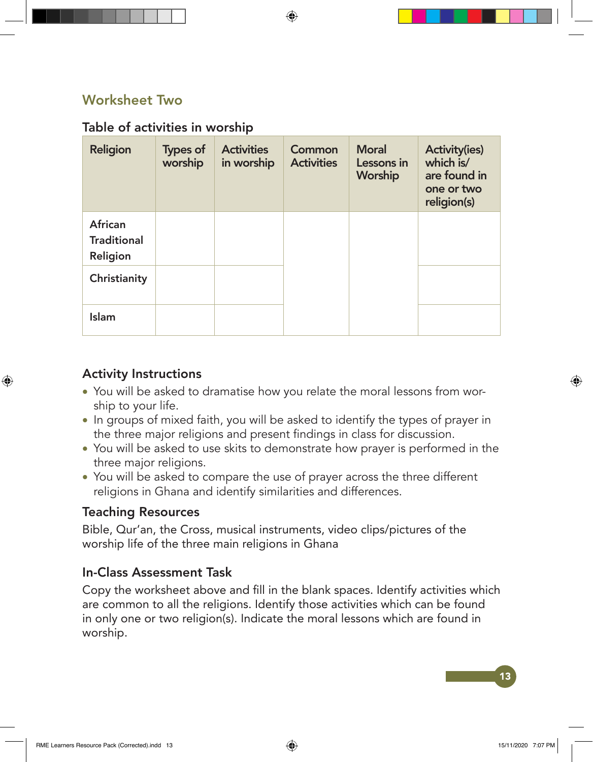#### Worksheet Two

#### Table of activities in worship

| <b>Religion</b>                           | <b>Types of</b><br>worship | <b>Activities</b><br>in worship | Common<br><b>Activities</b> | <b>Moral</b><br>Lessons in<br>Worship | <b>Activity(ies)</b><br>which is/<br>are found in<br>one or two<br>religion(s) |
|-------------------------------------------|----------------------------|---------------------------------|-----------------------------|---------------------------------------|--------------------------------------------------------------------------------|
| African<br><b>Traditional</b><br>Religion |                            |                                 |                             |                                       |                                                                                |
| Christianity                              |                            |                                 |                             |                                       |                                                                                |
| Islam                                     |                            |                                 |                             |                                       |                                                                                |

⊕

#### Activity Instructions

⊕

- You will be asked to dramatise how you relate the moral lessons from worship to your life.
- In groups of mixed faith, you will be asked to identify the types of prayer in the three major religions and present findings in class for discussion.
- You will be asked to use skits to demonstrate how prayer is performed in the three major religions.
- You will be asked to compare the use of prayer across the three different religions in Ghana and identify similarities and differences.

#### Teaching Resources

Bible, Qur'an, the Cross, musical instruments, video clips/pictures of the worship life of the three main religions in Ghana

#### In-Class Assessment Task

Copy the worksheet above and fill in the blank spaces. Identify activities which are common to all the religions. Identify those activities which can be found in only one or two religion(s). Indicate the moral lessons which are found in worship.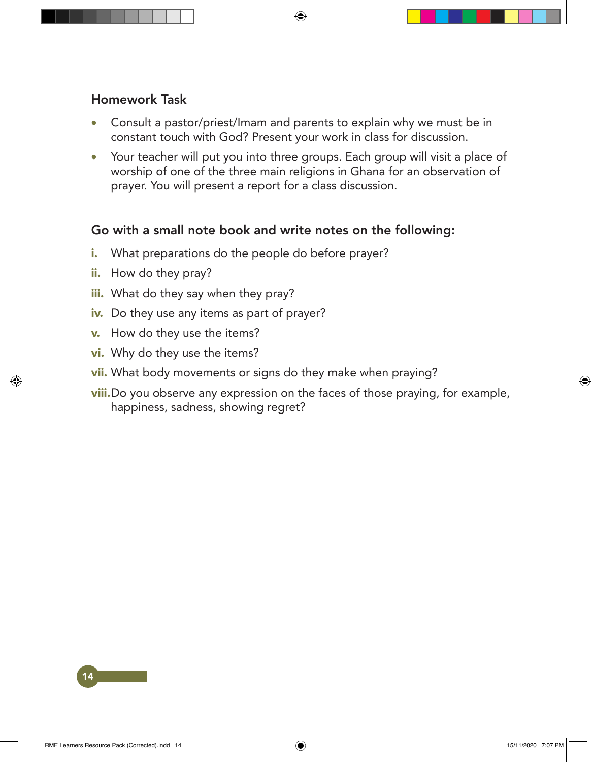#### Homework Task

• Consult a pastor/priest/Imam and parents to explain why we must be in constant touch with God? Present your work in class for discussion.

⊕

• Your teacher will put you into three groups. Each group will visit a place of worship of one of the three main religions in Ghana for an observation of prayer. You will present a report for a class discussion.

#### Go with a small note book and write notes on the following:

- i. What preparations do the people do before prayer?
- ii. How do they pray?
- iii. What do they say when they pray?
- iv. Do they use any items as part of prayer?
- **v.** How do they use the items?
- **vi.** Why do they use the items?
- vii. What body movements or signs do they make when praying?
- **viii.** Do you observe any expression on the faces of those praying, for example, happiness, sadness, showing regret?



⊕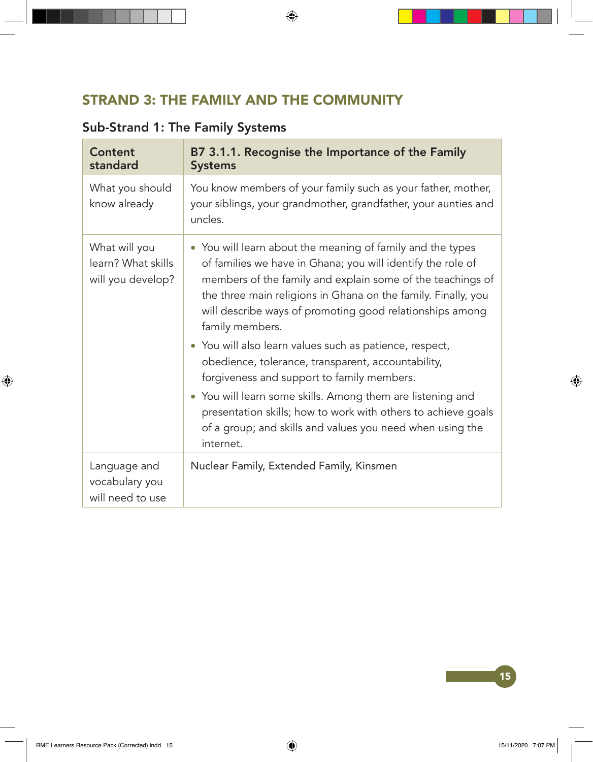## STRAND 3: THE FAMILY AND THE COMMUNITY

## Sub-Strand 1: The Family Systems

| Content<br>standard                                      | B7 3.1.1. Recognise the Importance of the Family<br><b>Systems</b>                                                                                                                                                                                                                                                                                                                                                                                                                                                                                                   |
|----------------------------------------------------------|----------------------------------------------------------------------------------------------------------------------------------------------------------------------------------------------------------------------------------------------------------------------------------------------------------------------------------------------------------------------------------------------------------------------------------------------------------------------------------------------------------------------------------------------------------------------|
| What you should<br>know already                          | You know members of your family such as your father, mother,<br>your siblings, your grandmother, grandfather, your aunties and<br>uncles.                                                                                                                                                                                                                                                                                                                                                                                                                            |
| What will you<br>learn? What skills<br>will you develop? | • You will learn about the meaning of family and the types<br>of families we have in Ghana; you will identify the role of<br>members of the family and explain some of the teachings of<br>the three main religions in Ghana on the family. Finally, you<br>will describe ways of promoting good relationships among<br>family members.<br>• You will also learn values such as patience, respect,<br>obedience, tolerance, transparent, accountability,<br>forgiveness and support to family members.<br>• You will learn some skills. Among them are listening and |
|                                                          | presentation skills; how to work with others to achieve goals<br>of a group; and skills and values you need when using the<br>internet.                                                                                                                                                                                                                                                                                                                                                                                                                              |
| Language and<br>vocabulary you<br>will need to use       | Nuclear Family, Extended Family, Kinsmen                                                                                                                                                                                                                                                                                                                                                                                                                                                                                                                             |

 $\bigoplus$ 



 $\bigoplus$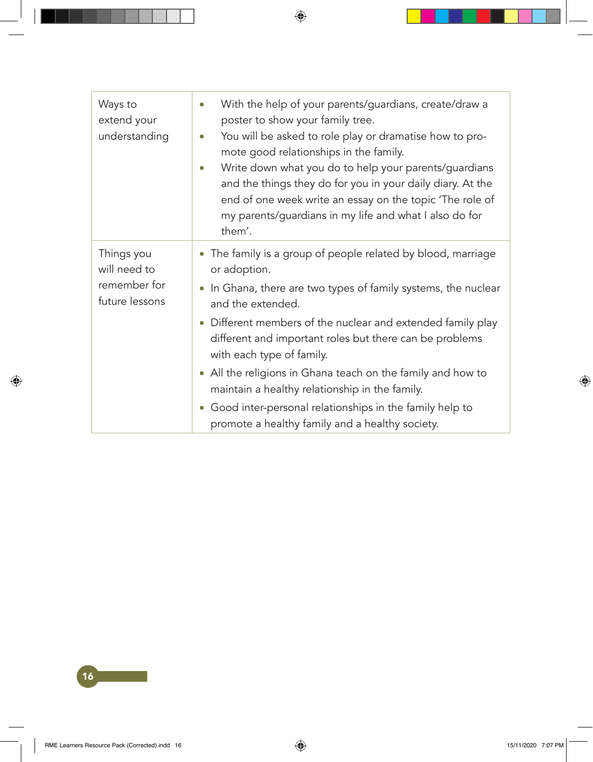| Ways to<br>extend your<br>understanding                      | With the help of your parents/guardians, create/draw a<br>$\bullet$<br>poster to show your family tree.<br>You will be asked to role play or dramatise how to pro-<br>$\bullet$<br>mote good relationships in the family.<br>Write down what you do to help your parents/guardians<br>$\bullet$<br>and the things they do for you in your daily diary. At the<br>end of one week write an essay on the topic 'The role of<br>my parents/guardians in my life and what I also do for<br>them'. |
|--------------------------------------------------------------|-----------------------------------------------------------------------------------------------------------------------------------------------------------------------------------------------------------------------------------------------------------------------------------------------------------------------------------------------------------------------------------------------------------------------------------------------------------------------------------------------|
| Things you<br>will need to<br>remember for<br>future lessons | • The family is a group of people related by blood, marriage<br>or adoption.<br>In Ghana, there are two types of family systems, the nuclear<br>$\bullet$<br>and the extended.<br>Different members of the nuclear and extended family play<br>different and important roles but there can be problems<br>with each type of family.<br>• All the religions in Ghana teach on the family and how to<br>maintain a healthy relationship in the family.                                          |
|                                                              | Good inter-personal relationships in the family help to<br>$\bullet$<br>promote a healthy family and a healthy society.                                                                                                                                                                                                                                                                                                                                                                       |



 $\equiv$ 

 $\bigoplus$ 

ı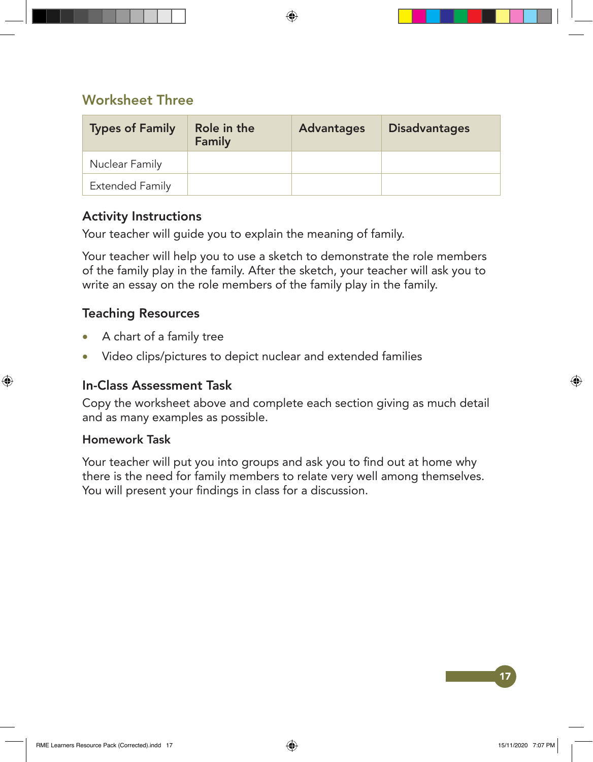#### Worksheet Three

| <b>Types of Family</b> | Role in the<br><b>Family</b> | <b>Advantages</b> | <b>Disadvantages</b> |
|------------------------|------------------------------|-------------------|----------------------|
| Nuclear Family         |                              |                   |                      |
| <b>Extended Family</b> |                              |                   |                      |

⊕

#### Activity Instructions

Your teacher will guide you to explain the meaning of family.

Your teacher will help you to use a sketch to demonstrate the role members of the family play in the family. After the sketch, your teacher will ask you to write an essay on the role members of the family play in the family.

#### Teaching Resources

- A chart of a family tree
- Video clips/pictures to depict nuclear and extended families

#### In-Class Assessment Task

⊕

Copy the worksheet above and complete each section giving as much detail and as many examples as possible.

#### Homework Task

Your teacher will put you into groups and ask you to find out at home why there is the need for family members to relate very well among themselves. You will present your findings in class for a discussion.

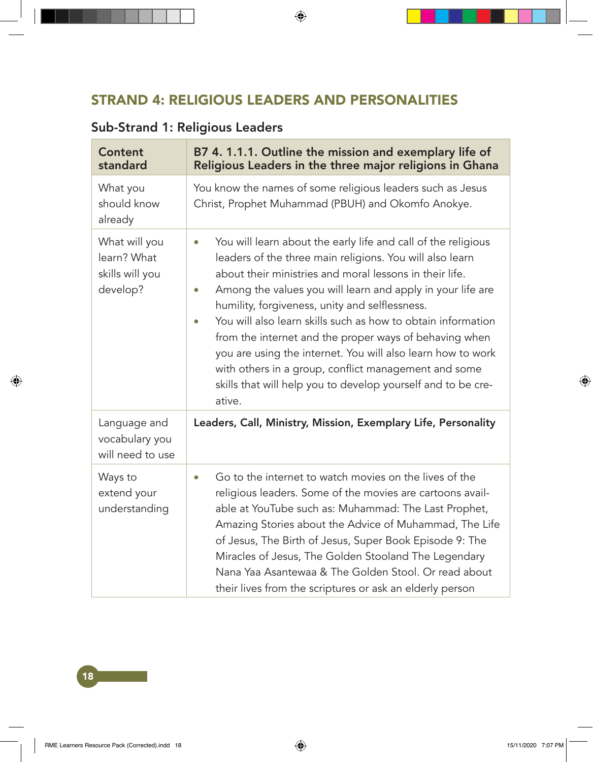## STRAND 4: RELIGIOUS LEADERS AND PERSONALITIES

 $\bigoplus$ 

## Sub-Strand 1: Religious Leaders

| <b>Content</b><br>standard                                  | B7 4. 1.1.1. Outline the mission and exemplary life of<br>Religious Leaders in the three major religions in Ghana                                                                                                                                                                                                                                                                                                                                                                                                                                                                                                                                                      |
|-------------------------------------------------------------|------------------------------------------------------------------------------------------------------------------------------------------------------------------------------------------------------------------------------------------------------------------------------------------------------------------------------------------------------------------------------------------------------------------------------------------------------------------------------------------------------------------------------------------------------------------------------------------------------------------------------------------------------------------------|
| What you<br>should know<br>already                          | You know the names of some religious leaders such as Jesus<br>Christ, Prophet Muhammad (PBUH) and Okomfo Anokye.                                                                                                                                                                                                                                                                                                                                                                                                                                                                                                                                                       |
| What will you<br>learn? What<br>skills will you<br>develop? | You will learn about the early life and call of the religious<br>$\bullet$<br>leaders of the three main religions. You will also learn<br>about their ministries and moral lessons in their life.<br>Among the values you will learn and apply in your life are<br>$\bullet$<br>humility, forgiveness, unity and selflessness.<br>You will also learn skills such as how to obtain information<br>$\bullet$<br>from the internet and the proper ways of behaving when<br>you are using the internet. You will also learn how to work<br>with others in a group, conflict management and some<br>skills that will help you to develop yourself and to be cre-<br>ative. |
| Language and<br>vocabulary you<br>will need to use          | Leaders, Call, Ministry, Mission, Exemplary Life, Personality                                                                                                                                                                                                                                                                                                                                                                                                                                                                                                                                                                                                          |
| Ways to<br>extend your<br>understanding                     | Go to the internet to watch movies on the lives of the<br>$\bullet$<br>religious leaders. Some of the movies are cartoons avail-<br>able at YouTube such as: Muhammad: The Last Prophet,<br>Amazing Stories about the Advice of Muhammad, The Life<br>of Jesus, The Birth of Jesus, Super Book Episode 9: The<br>Miracles of Jesus, The Golden Stooland The Legendary<br>Nana Yaa Asantewaa & The Golden Stool. Or read about<br>their lives from the scriptures or ask an elderly person                                                                                                                                                                              |

18

 $\bigoplus$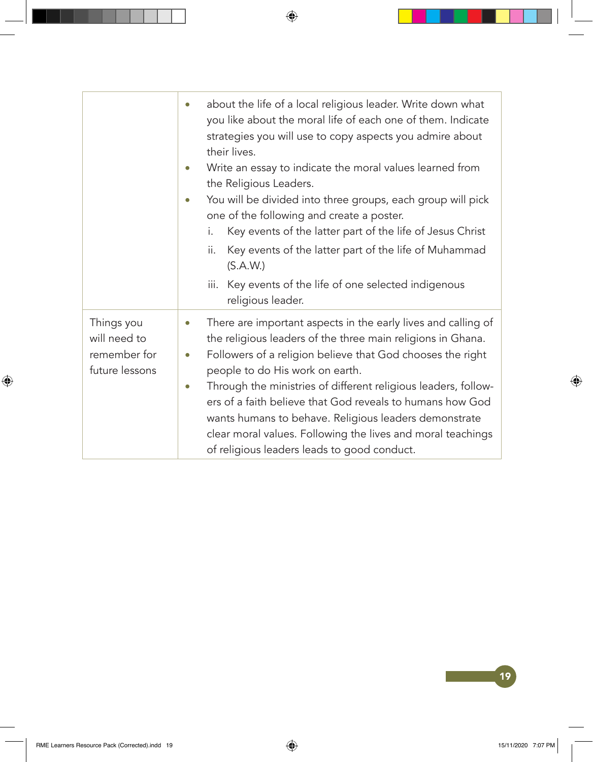|                                                              | about the life of a local religious leader. Write down what<br>$\bullet$<br>you like about the moral life of each one of them. Indicate<br>strategies you will use to copy aspects you admire about<br>their lives.<br>Write an essay to indicate the moral values learned from<br>$\bullet$<br>the Religious Leaders.<br>You will be divided into three groups, each group will pick<br>$\bullet$<br>one of the following and create a poster.<br>Key events of the latter part of the life of Jesus Christ<br>i.<br>ii.<br>Key events of the latter part of the life of Muhammad<br>(S.A.W.)<br>iii.<br>Key events of the life of one selected indigenous<br>religious leader. |
|--------------------------------------------------------------|----------------------------------------------------------------------------------------------------------------------------------------------------------------------------------------------------------------------------------------------------------------------------------------------------------------------------------------------------------------------------------------------------------------------------------------------------------------------------------------------------------------------------------------------------------------------------------------------------------------------------------------------------------------------------------|
| Things you<br>will need to<br>remember for<br>future lessons | There are important aspects in the early lives and calling of<br>$\bullet$<br>the religious leaders of the three main religions in Ghana.<br>Followers of a religion believe that God chooses the right<br>0<br>people to do His work on earth.<br>Through the ministries of different religious leaders, follow-<br>$\bullet$<br>ers of a faith believe that God reveals to humans how God<br>wants humans to behave. Religious leaders demonstrate<br>clear moral values. Following the lives and moral teachings<br>of religious leaders leads to good conduct.                                                                                                               |

19

 $\overline{a}$ 

 $\bigoplus$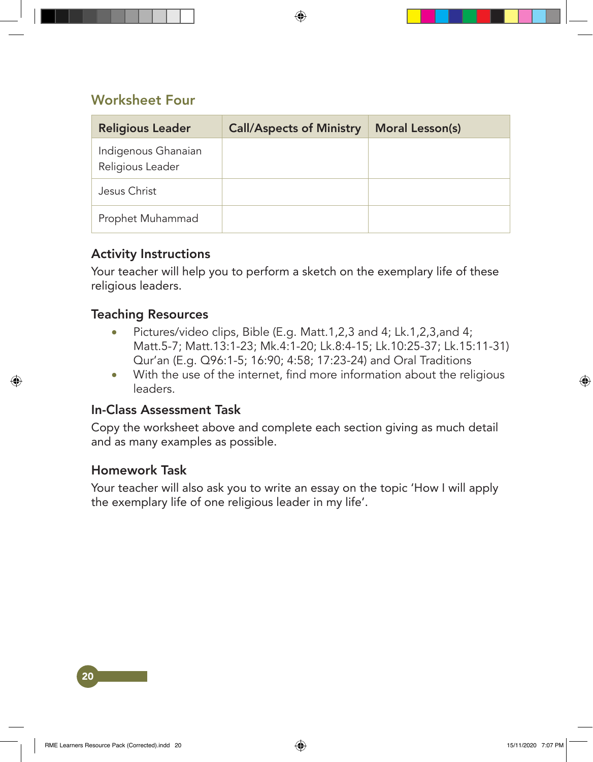#### Worksheet Four

| <b>Religious Leader</b>                 | <b>Call/Aspects of Ministry</b> | <b>Moral Lesson(s)</b> |
|-----------------------------------------|---------------------------------|------------------------|
| Indigenous Ghanaian<br>Religious Leader |                                 |                        |
| Jesus Christ                            |                                 |                        |
| Prophet Muhammad                        |                                 |                        |

⊕

#### Activity Instructions

Your teacher will help you to perform a sketch on the exemplary life of these religious leaders.

#### Teaching Resources

- Pictures/video clips, Bible (E.g. Matt.1,2,3 and 4; Lk.1,2,3,and 4; Matt.5-7; Matt.13:1-23; Mk.4:1-20; Lk.8:4-15; Lk.10:25-37; Lk.15:11-31) Qur'an (E.g. Q96:1-5; 16:90; 4:58; 17:23-24) and Oral Traditions
- With the use of the internet, find more information about the religious leaders.

#### In-Class Assessment Task

Copy the worksheet above and complete each section giving as much detail and as many examples as possible.

#### Homework Task

⊕

Your teacher will also ask you to write an essay on the topic 'How I will apply the exemplary life of one religious leader in my life'.

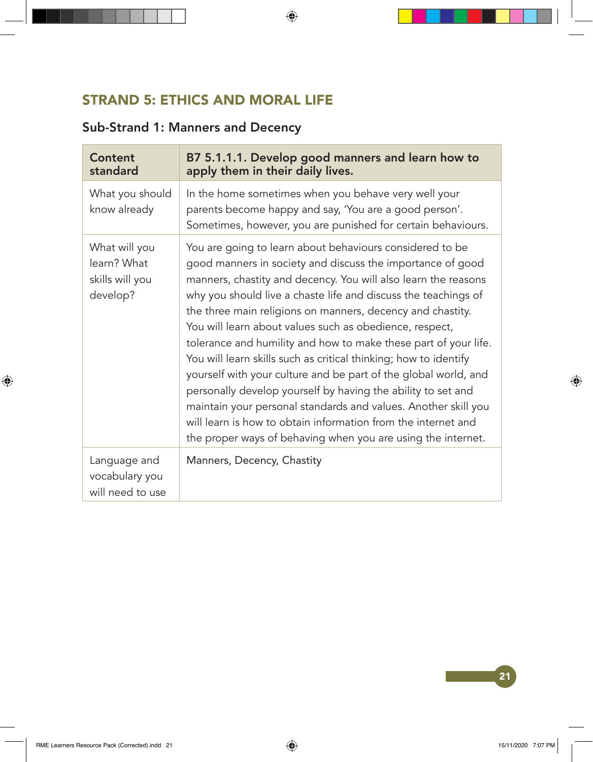## STRAND 5: ETHICS AND MORAL LIFE

## Sub-Strand 1: Manners and Decency

| Content<br>standard                                         | B7 5.1.1.1. Develop good manners and learn how to<br>apply them in their daily lives.                                                                                                                                                                                                                                                                                                                                                                                                                                                                                                                                                                                                                                                                                                                                                                            |
|-------------------------------------------------------------|------------------------------------------------------------------------------------------------------------------------------------------------------------------------------------------------------------------------------------------------------------------------------------------------------------------------------------------------------------------------------------------------------------------------------------------------------------------------------------------------------------------------------------------------------------------------------------------------------------------------------------------------------------------------------------------------------------------------------------------------------------------------------------------------------------------------------------------------------------------|
| What you should<br>know already                             | In the home sometimes when you behave very well your<br>parents become happy and say, 'You are a good person'.<br>Sometimes, however, you are punished for certain behaviours.                                                                                                                                                                                                                                                                                                                                                                                                                                                                                                                                                                                                                                                                                   |
| What will you<br>learn? What<br>skills will you<br>develop? | You are going to learn about behaviours considered to be<br>good manners in society and discuss the importance of good<br>manners, chastity and decency. You will also learn the reasons<br>why you should live a chaste life and discuss the teachings of<br>the three main religions on manners, decency and chastity.<br>You will learn about values such as obedience, respect,<br>tolerance and humility and how to make these part of your life.<br>You will learn skills such as critical thinking; how to identify<br>yourself with your culture and be part of the global world, and<br>personally develop yourself by having the ability to set and<br>maintain your personal standards and values. Another skill you<br>will learn is how to obtain information from the internet and<br>the proper ways of behaving when you are using the internet. |
| Language and<br>vocabulary you<br>will need to use          | Manners, Decency, Chastity                                                                                                                                                                                                                                                                                                                                                                                                                                                                                                                                                                                                                                                                                                                                                                                                                                       |

21

RME Learners Resource Pack (Corrected).indd 21 15/11/2020 7:07 PM

 $\bigoplus$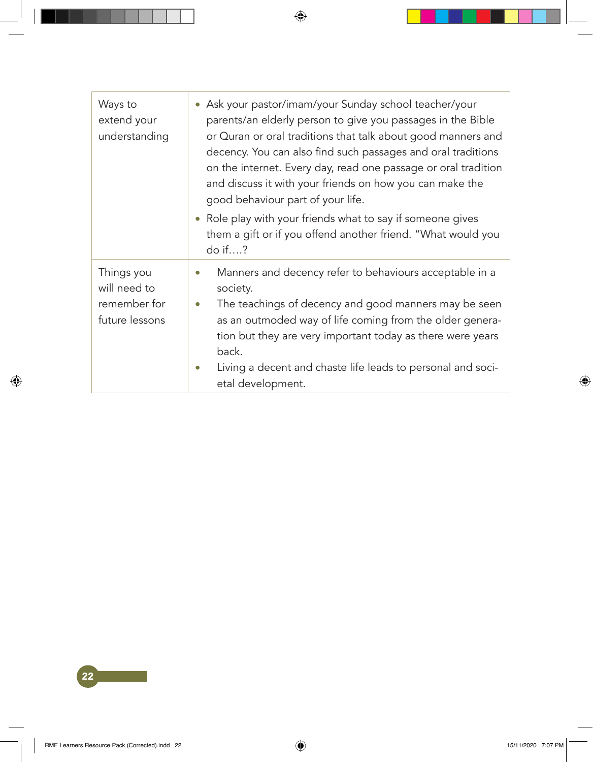| Ways to<br>extend your<br>understanding                      | Ask your pastor/imam/your Sunday school teacher/your<br>parents/an elderly person to give you passages in the Bible<br>or Quran or oral traditions that talk about good manners and<br>decency. You can also find such passages and oral traditions<br>on the internet. Every day, read one passage or oral tradition<br>and discuss it with your friends on how you can make the<br>good behaviour part of your life.<br>• Role play with your friends what to say if someone gives<br>them a gift or if you offend another friend. "What would you<br>do if? |
|--------------------------------------------------------------|----------------------------------------------------------------------------------------------------------------------------------------------------------------------------------------------------------------------------------------------------------------------------------------------------------------------------------------------------------------------------------------------------------------------------------------------------------------------------------------------------------------------------------------------------------------|
| Things you<br>will need to<br>remember for<br>future lessons | Manners and decency refer to behaviours acceptable in a<br>$\bullet$<br>society.<br>The teachings of decency and good manners may be seen<br>$\bullet$<br>as an outmoded way of life coming from the older genera-<br>tion but they are very important today as there were years<br>back.<br>Living a decent and chaste life leads to personal and soci-<br>$\bullet$<br>etal development.                                                                                                                                                                     |



 $\bigoplus$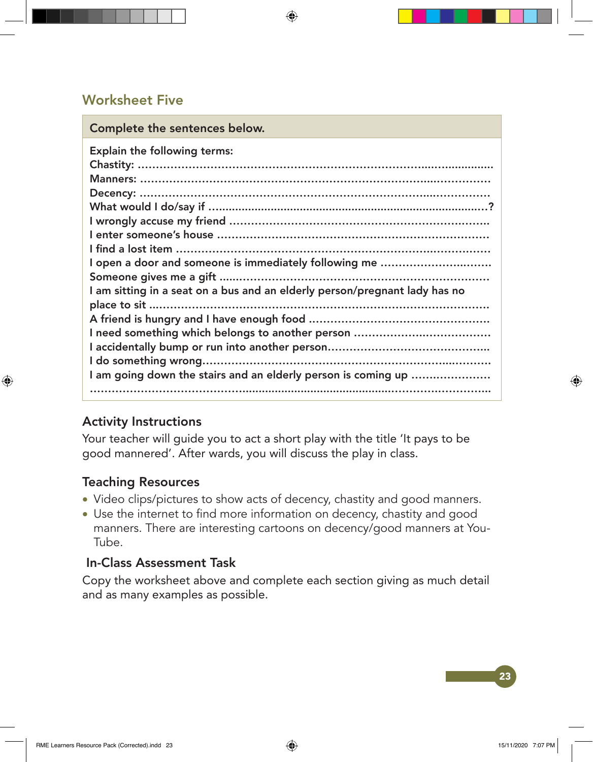#### Worksheet Five

#### Complete the sentences below. Explain the following terms: Chastity: ……………………………………………………………………....…............... Manners: ……………………………………………………………………....…………… Decency: ……………………………………………………………………....…………… What would I do/say if …................................................................................…? I wrongly accuse my friend ……………………………………………………….…….. I enter someone's house ………………………………………………………………… I find a lost item ……………………………………………………………..……….…… I open a door and someone is immediately following me …………………...……. Someone gives me a gift ......…………………………………………………………… I am sitting in a seat on a bus and an elderly person/pregnant lady has no place to sit ...………………………………………………………………………………. A friend is hungry and I have enough food .…………………………………………. I need something which belongs to another person ………………..……………… I accidentally bump or run into another person……………………………………... I do something wrong…………………………………………………………....………. I am going down the stairs and an elderly person is coming up …….…………… ……………………………………..............................................………….…………...

#### Activity Instructions

⊕

Your teacher will guide you to act a short play with the title 'It pays to be good mannered'. After wards, you will discuss the play in class.

#### Teaching Resources

- Video clips/pictures to show acts of decency, chastity and good manners.
- Use the internet to find more information on decency, chastity and good manners. There are interesting cartoons on decency/good manners at You-Tube.

#### In-Class Assessment Task

Copy the worksheet above and complete each section giving as much detail and as many examples as possible.

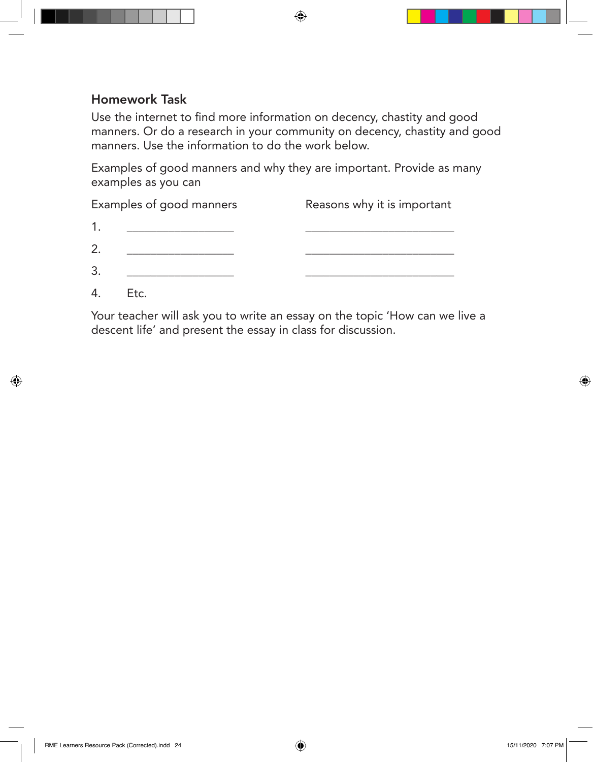#### Homework Task

Use the internet to find more information on decency, chastity and good manners. Or do a research in your community on decency, chastity and good manners. Use the information to do the work below.

 $\bigcirc$ 

Examples of good manners and why they are important. Provide as many examples as you can

| Examples of good manners | Reasons why it is important |
|--------------------------|-----------------------------|
|                          |                             |
| 2.                       |                             |
|                          |                             |
|                          |                             |

4. Etc.

⊕

Your teacher will ask you to write an essay on the topic 'How can we live a descent life' and present the essay in class for discussion.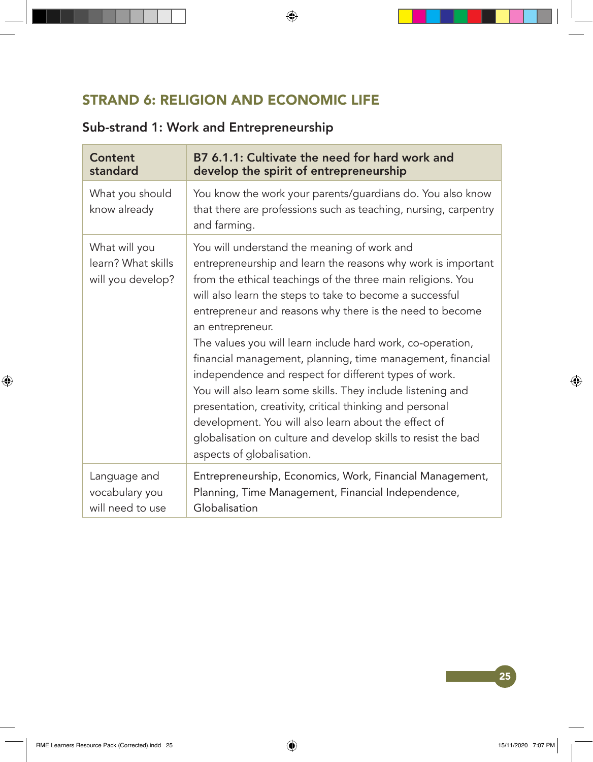## STRAND 6: RELIGION AND ECONOMIC LIFE

## Sub-strand 1: Work and Entrepreneurship

| Content                                                  | B7 6.1.1: Cultivate the need for hard work and                                                                                                                                                                                                                                                                                                                                                                                                                                                                                                                                                                                                                                                                                                                                               |
|----------------------------------------------------------|----------------------------------------------------------------------------------------------------------------------------------------------------------------------------------------------------------------------------------------------------------------------------------------------------------------------------------------------------------------------------------------------------------------------------------------------------------------------------------------------------------------------------------------------------------------------------------------------------------------------------------------------------------------------------------------------------------------------------------------------------------------------------------------------|
| standard                                                 | develop the spirit of entrepreneurship                                                                                                                                                                                                                                                                                                                                                                                                                                                                                                                                                                                                                                                                                                                                                       |
| What you should<br>know already                          | You know the work your parents/guardians do. You also know<br>that there are professions such as teaching, nursing, carpentry<br>and farming.                                                                                                                                                                                                                                                                                                                                                                                                                                                                                                                                                                                                                                                |
| What will you<br>learn? What skills<br>will you develop? | You will understand the meaning of work and<br>entrepreneurship and learn the reasons why work is important<br>from the ethical teachings of the three main religions. You<br>will also learn the steps to take to become a successful<br>entrepreneur and reasons why there is the need to become<br>an entrepreneur.<br>The values you will learn include hard work, co-operation,<br>financial management, planning, time management, financial<br>independence and respect for different types of work.<br>You will also learn some skills. They include listening and<br>presentation, creativity, critical thinking and personal<br>development. You will also learn about the effect of<br>globalisation on culture and develop skills to resist the bad<br>aspects of globalisation. |
| Language and                                             | Entrepreneurship, Economics, Work, Financial Management,                                                                                                                                                                                                                                                                                                                                                                                                                                                                                                                                                                                                                                                                                                                                     |
| vocabulary you                                           | Planning, Time Management, Financial Independence,                                                                                                                                                                                                                                                                                                                                                                                                                                                                                                                                                                                                                                                                                                                                           |
| will need to use                                         | Globalisation                                                                                                                                                                                                                                                                                                                                                                                                                                                                                                                                                                                                                                                                                                                                                                                |

25

 $\bigoplus$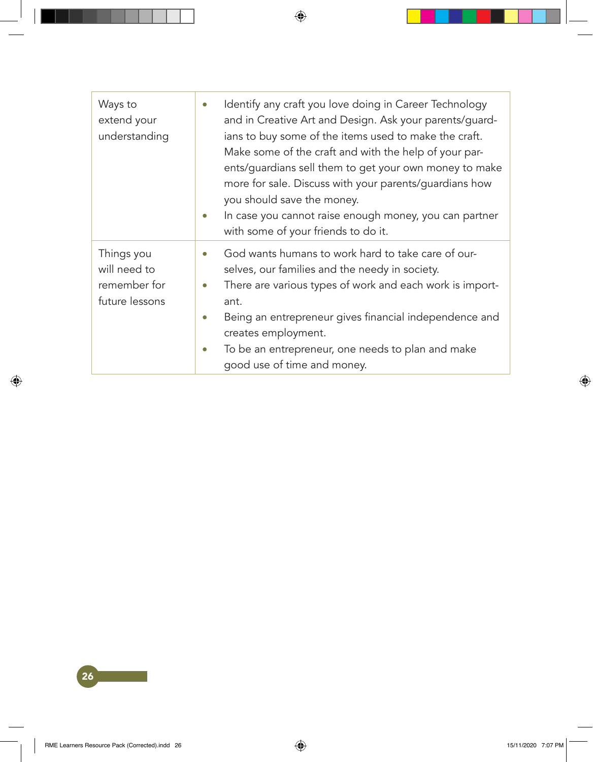| Ways to<br>extend your<br>understanding                      | Identify any craft you love doing in Career Technology<br>and in Creative Art and Design. Ask your parents/guard-<br>ians to buy some of the items used to make the craft.<br>Make some of the craft and with the help of your par-<br>ents/guardians sell them to get your own money to make<br>more for sale. Discuss with your parents/guardians how<br>you should save the money.<br>In case you cannot raise enough money, you can partner<br>$\bullet$<br>with some of your friends to do it. |
|--------------------------------------------------------------|-----------------------------------------------------------------------------------------------------------------------------------------------------------------------------------------------------------------------------------------------------------------------------------------------------------------------------------------------------------------------------------------------------------------------------------------------------------------------------------------------------|
| Things you<br>will need to<br>remember for<br>future lessons | God wants humans to work hard to take care of our-<br>$\bullet$<br>selves, our families and the needy in society.<br>There are various types of work and each work is import-<br>$\bullet$<br>ant.<br>Being an entrepreneur gives financial independence and<br>$\bullet$<br>creates employment.<br>To be an entrepreneur, one needs to plan and make<br>$\bullet$<br>good use of time and money.                                                                                                   |



 $\bigoplus$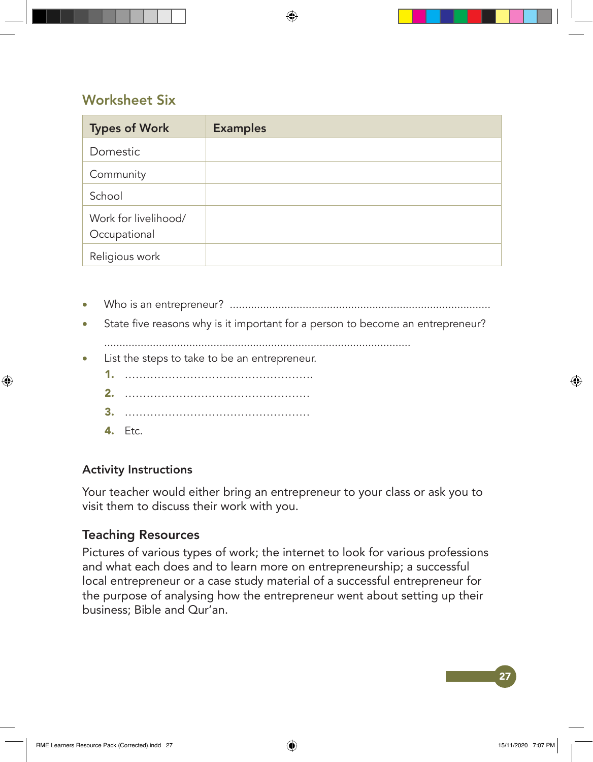#### Worksheet Six

| <b>Types of Work</b>                 | <b>Examples</b> |
|--------------------------------------|-----------------|
| Domestic                             |                 |
| Community                            |                 |
| School                               |                 |
| Work for livelihood/<br>Occupational |                 |
| Religious work                       |                 |

◈

- • Who is an entrepreneur? ......................................................................................
- State five reasons why is it important for a person to become an entrepreneur? .....................................................................................................
- List the steps to take to be an entrepreneur.
	- 1. …………………………………………….
	- 2. ……………………………………………
	- 3. ……………………………………………
	- 4. Etc.

⊕

#### Activity Instructions

Your teacher would either bring an entrepreneur to your class or ask you to visit them to discuss their work with you.

#### Teaching Resources

Pictures of various types of work; the internet to look for various professions and what each does and to learn more on entrepreneurship; a successful local entrepreneur or a case study material of a successful entrepreneur for the purpose of analysing how the entrepreneur went about setting up their business; Bible and Qur'an.



 $\Leftrightarrow$